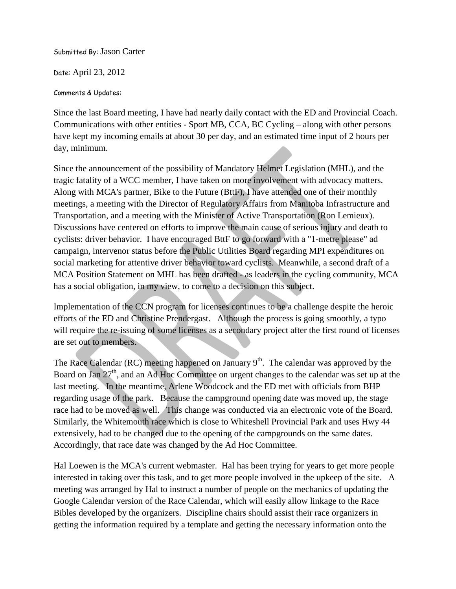Submitted By: Jason Carter

Date: April 23, 2012

## Comments & Updates:

Since the last Board meeting, I have had nearly daily contact with the ED and Provincial Coach. Communications with other entities - Sport MB, CCA, BC Cycling – along with other persons have kept my incoming emails at about 30 per day, and an estimated time input of 2 hours per day, minimum.

Since the announcement of the possibility of Mandatory Helmet Legislation (MHL), and the tragic fatality of a WCC member, I have taken on more involvement with advocacy matters. Along with MCA's partner, Bike to the Future (BttF), I have attended one of their monthly meetings, a meeting with the Director of Regulatory Affairs from Manitoba Infrastructure and Transportation, and a meeting with the Minister of Active Transportation (Ron Lemieux). Discussions have centered on efforts to improve the main cause of serious injury and death to cyclists: driver behavior. I have encouraged BttF to go forward with a "1-metre please" ad campaign, intervenor status before the Public Utilities Board regarding MPI expenditures on social marketing for attentive driver behavior toward cyclists. Meanwhile, a second draft of a MCA Position Statement on MHL has been drafted - as leaders in the cycling community, MCA has a social obligation, in my view, to come to a decision on this subject.

Implementation of the CCN program for licenses continues to be a challenge despite the heroic efforts of the ED and Christine Prendergast. Although the process is going smoothly, a typo will require the re-issuing of some licenses as a secondary project after the first round of licenses are set out to members.

The Race Calendar (RC) meeting happened on January  $9<sup>th</sup>$ . The calendar was approved by the Board on Jan 27<sup>th</sup>, and an Ad Hoc Committee on urgent changes to the calendar was set up at the last meeting. In the meantime, Arlene Woodcock and the ED met with officials from BHP regarding usage of the park. Because the campground opening date was moved up, the stage race had to be moved as well. This change was conducted via an electronic vote of the Board. Similarly, the Whitemouth race which is close to Whiteshell Provincial Park and uses Hwy 44 extensively, had to be changed due to the opening of the campgrounds on the same dates. Accordingly, that race date was changed by the Ad Hoc Committee.

Hal Loewen is the MCA's current webmaster. Hal has been trying for years to get more people interested in taking over this task, and to get more people involved in the upkeep of the site. A meeting was arranged by Hal to instruct a number of people on the mechanics of updating the Google Calendar version of the Race Calendar, which will easily allow linkage to the Race Bibles developed by the organizers. Discipline chairs should assist their race organizers in getting the information required by a template and getting the necessary information onto the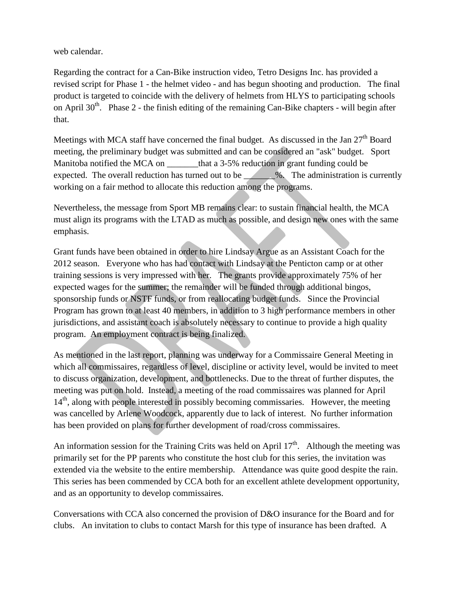web calendar.

Regarding the contract for a Can-Bike instruction video, Tetro Designs Inc. has provided a revised script for Phase 1 - the helmet video - and has begun shooting and production. The final product is targeted to coincide with the delivery of helmets from HLYS to participating schools on April  $30<sup>th</sup>$ . Phase 2 - the finish editing of the remaining Can-Bike chapters - will begin after that.

Meetings with MCA staff have concerned the final budget. As discussed in the Jan  $27<sup>th</sup>$  Board meeting, the preliminary budget was submitted and can be considered an "ask" budget. Sport Manitoba notified the MCA on that a 3-5% reduction in grant funding could be expected. The overall reduction has turned out to be \_\_\_\_\_\_\_%. The administration is currently working on a fair method to allocate this reduction among the programs.

Nevertheless, the message from Sport MB remains clear: to sustain financial health, the MCA must align its programs with the LTAD as much as possible, and design new ones with the same emphasis.

Grant funds have been obtained in order to hire Lindsay Argue as an Assistant Coach for the 2012 season. Everyone who has had contact with Lindsay at the Penticton camp or at other training sessions is very impressed with her. The grants provide approximately 75% of her expected wages for the summer; the remainder will be funded through additional bingos, sponsorship funds or NSTF funds, or from reallocating budget funds. Since the Provincial Program has grown to at least 40 members, in addition to 3 high performance members in other jurisdictions, and assistant coach is absolutely necessary to continue to provide a high quality program. An employment contract is being finalized.

As mentioned in the last report, planning was underway for a Commissaire General Meeting in which all commissaires, regardless of level, discipline or activity level, would be invited to meet to discuss organization, development, and bottlenecks. Due to the threat of further disputes, the meeting was put on hold. Instead, a meeting of the road commissaires was planned for April 14<sup>th</sup>, along with people interested in possibly becoming commissaries. However, the meeting was cancelled by Arlene Woodcock, apparently due to lack of interest. No further information has been provided on plans for further development of road/cross commissaires.

An information session for the Training Crits was held on April  $17<sup>th</sup>$ . Although the meeting was primarily set for the PP parents who constitute the host club for this series, the invitation was extended via the website to the entire membership. Attendance was quite good despite the rain. This series has been commended by CCA both for an excellent athlete development opportunity, and as an opportunity to develop commissaires.

Conversations with CCA also concerned the provision of D&O insurance for the Board and for clubs. An invitation to clubs to contact Marsh for this type of insurance has been drafted. A